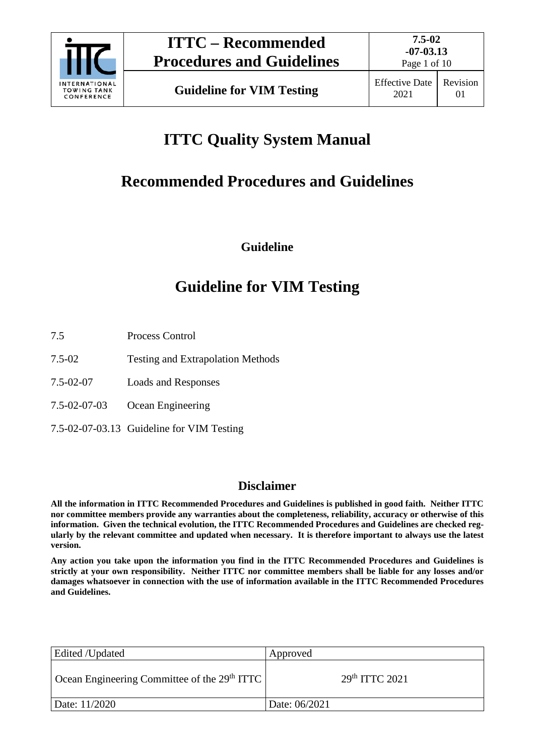

Page 1 of 10

# **ITTC Quality System Manual**

## **Recommended Procedures and Guidelines**

**Guideline**

## **Guideline for VIM Testing**

- 7.5 Process Control
- 7.5-02 Testing and Extrapolation Methods
- 7.5-02-07 Loads and Responses
- 7.5-02-07-03 Ocean Engineering
- 7.5-02-07-03.13 Guideline for VIM Testing

### **Disclaimer**

**All the information in ITTC Recommended Procedures and Guidelines is published in good faith. Neither ITTC nor committee members provide any warranties about the completeness, reliability, accuracy or otherwise of this information. Given the technical evolution, the ITTC Recommended Procedures and Guidelines are checked regularly by the relevant committee and updated when necessary. It is therefore important to always use the latest version.**

**Any action you take upon the information you find in the ITTC Recommended Procedures and Guidelines is strictly at your own responsibility. Neither ITTC nor committee members shall be liable for any losses and/or damages whatsoever in connection with the use of information available in the ITTC Recommended Procedures and Guidelines.**

| Edited /Updated                                | Approved                   |
|------------------------------------------------|----------------------------|
| Ocean Engineering Committee of the $29th ITTC$ | 29 <sup>th</sup> TTTC 2021 |
| Date: 11/2020                                  | Date: 06/2021              |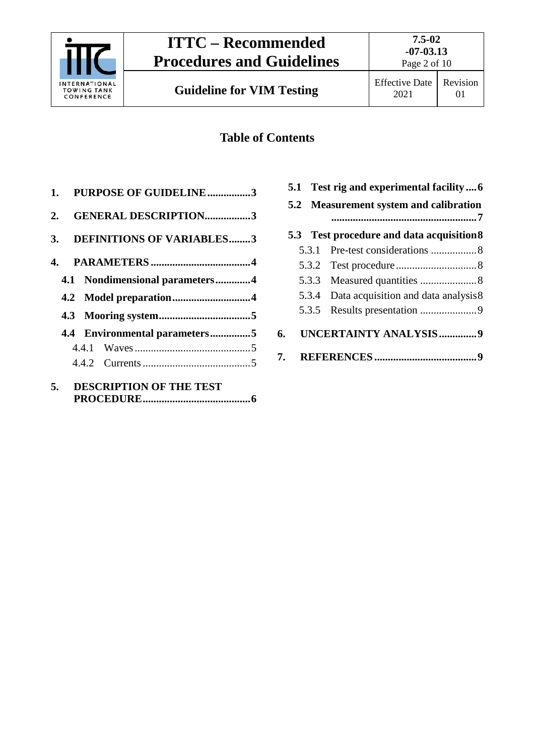

## **Table of Contents**

| 1. PURPOSE OF GUIDELINE3       |  |
|--------------------------------|--|
| 2. GENERAL DESCRIPTION3        |  |
| 3. DEFINITIONS OF VARIABLES3   |  |
|                                |  |
| 4.1 Nondimensional parameters4 |  |
|                                |  |
|                                |  |
| 4.4 Environmental parameters5  |  |
|                                |  |
|                                |  |
| 5. DESCRIPTION OF THE TEST     |  |

|    |                                        |       | 5.1 Test rig and experimental facility  6  |  |
|----|----------------------------------------|-------|--------------------------------------------|--|
|    | 5.2 Measurement system and calibration |       |                                            |  |
|    |                                        |       | 5.3 Test procedure and data acquisition 8  |  |
|    |                                        | 5.3.1 |                                            |  |
|    |                                        |       |                                            |  |
|    |                                        |       |                                            |  |
|    |                                        |       | 5.3.4 Data acquisition and data analysis 8 |  |
|    |                                        | 5.3.5 |                                            |  |
| 6. |                                        |       | UNCERTAINTY ANALYSIS9                      |  |
|    |                                        |       |                                            |  |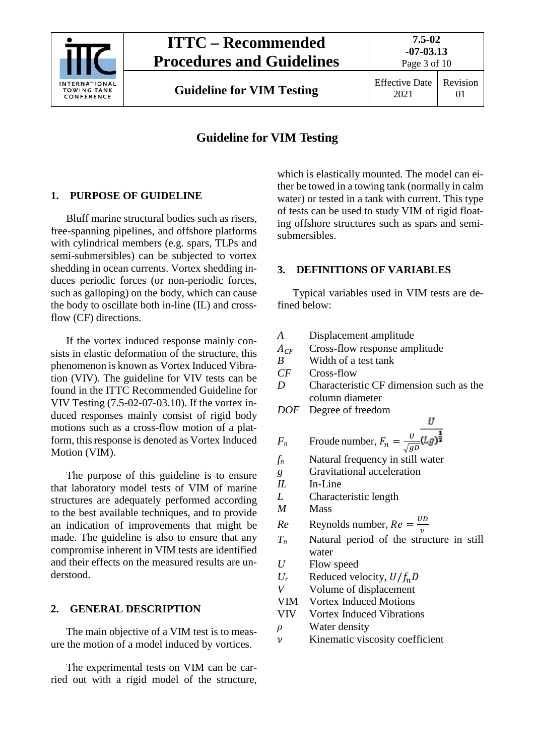

## **Guideline for VIM Testing**

## <span id="page-2-0"></span>**1. PURPOSE OF GUIDELINE**

Bluff marine structural bodies such as risers, free-spanning pipelines, and offshore platforms with cylindrical members (e.g. spars, TLPs and semi-submersibles) can be subjected to vortex shedding in ocean currents. Vortex shedding induces periodic forces (or non-periodic forces, such as galloping) on the body, which can cause the body to oscillate both in-line (IL) and crossflow (CF) directions.

If the vortex induced response mainly consists in elastic deformation of the structure, this phenomenon is known as Vortex Induced Vibration (VIV). The guideline for VIV tests can be found in the ITTC Recommended Guideline for VIV Testing (7.5-02-07-03.10). If the vortex induced responses mainly consist of rigid body motions such as a cross-flow motion of a platform, this response is denoted as Vortex Induced Motion (VIM).

The purpose of this guideline is to ensure that laboratory model tests of VIM of marine structures are adequately performed according to the best available techniques, and to provide an indication of improvements that might be made. The guideline is also to ensure that any compromise inherent in VIM tests are identified and their effects on the measured results are understood.

### <span id="page-2-1"></span>**2. GENERAL DESCRIPTION**

The main objective of a VIM test is to measure the motion of a model induced by vortices.

The experimental tests on VIM can be carried out with a rigid model of the structure,

which is elastically mounted. The model can either be towed in a towing tank (normally in calm water) or tested in a tank with current. This type of tests can be used to study VIM of rigid floating offshore structures such as spars and semisubmersibles.

## <span id="page-2-2"></span>**3. DEFINITIONS OF VARIABLES**

Typical variables used in VIM tests are defined below:

- *A* Displacement amplitude
- $A_{CF}$  Cross-flow response amplitude<br>B Width of a test tank
- *B* Width of a test tank<br>*CF* Cross-flow
- *CF* Cross-flow
- *D* Characteristic CF dimension such as the column diameter

U

*DOF* Degree of freedom

$$
F_n
$$
 Froude number,  $F_n = \frac{U}{\sqrt{gD}} \overline{(Lg)^{\frac{1}{2}}}$ 

- *fn* Natural frequency in still water
- *g* Gravitational acceleration
- *IL* In-Line
- *L* Characteristic length
- *M* Mass
- $Re$  Reynolds number,  $Re = \frac{U_1}{v}$
- *Tn* Natural period of the structure in still water
- *U* Flow speed
- $U_r$  Reduced velocity,  $U/f_nD$ <br>*V* Volume of displacement
- *V* Volume of displacement
- VIM Vortex Induced Motions
- VIV Vortex Induced Vibrations
- *ρ* Water density
- $\nu$  Kinematic viscosity coefficient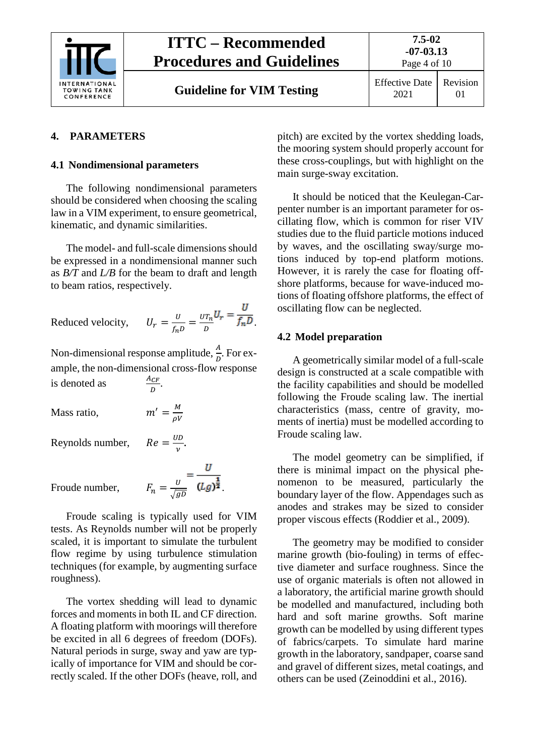

#### <span id="page-3-1"></span><span id="page-3-0"></span>**4. PARAMETERS**

#### **4.1 Nondimensional parameters**

The following nondimensional parameters should be considered when choosing the scaling law in a VIM experiment, to ensure geometrical, kinematic, and dynamic similarities.

The model- and full-scale dimensions should be expressed in a nondimensional manner such as *B/T* and *L/B* for the beam to draft and length to beam ratios, respectively.

Reduced velocity, 
$$
U_r = \frac{U}{f_n D} = \frac{U T_n U_r}{D} = \frac{U}{f_n D}
$$
.

Non-dimensional response amplitude,  $\frac{A}{D}$ . For example, the non-dimensional cross-flow response is denoted as  $\frac{A_{CF}}{D}$ .

Mass ratio,  $m' = \frac{M}{\rho V}$ 

Reynolds number,

 $Re = \frac{UD}{v}$ .  $F_n = \frac{v}{\sqrt{ab}} = \frac{U}{(Lg)^{\frac{1}{2}}}.$ 

Froude number,

Froude scaling is typically used for VIM tests. As Reynolds number will not be properly scaled, it is important to simulate the turbulent flow regime by using turbulence stimulation techniques (for example, by augmenting surface roughness).

The vortex shedding will lead to dynamic forces and moments in both IL and CF direction. A floating platform with moorings will therefore be excited in all 6 degrees of freedom (DOFs). Natural periods in surge, sway and yaw are typically of importance for VIM and should be correctly scaled. If the other DOFs (heave, roll, and pitch) are excited by the vortex shedding loads, the mooring system should properly account for these cross-couplings, but with highlight on the main surge-sway excitation.

It should be noticed that the Keulegan-Carpenter number is an important parameter for oscillating flow, which is common for riser VIV studies due to the fluid particle motions induced by waves, and the oscillating sway/surge motions induced by top-end platform motions. However, it is rarely the case for floating offshore platforms, because for wave-induced motions of floating offshore platforms, the effect of oscillating flow can be neglected.

#### <span id="page-3-2"></span>**4.2 Model preparation**

A geometrically similar model of a full-scale design is constructed at a scale compatible with the facility capabilities and should be modelled following the Froude scaling law. The inertial characteristics (mass, centre of gravity, moments of inertia) must be modelled according to Froude scaling law.

The model geometry can be simplified, if there is minimal impact on the physical phenomenon to be measured, particularly the boundary layer of the flow. Appendages such as anodes and strakes may be sized to consider proper viscous effects (Roddier et al., 2009).

The geometry may be modified to consider marine growth (bio-fouling) in terms of effective diameter and surface roughness. Since the use of organic materials is often not allowed in a laboratory, the artificial marine growth should be modelled and manufactured, including both hard and soft marine growths. Soft marine growth can be modelled by using different types of fabrics/carpets. To simulate hard marine growth in the laboratory, sandpaper, coarse sand and gravel of different sizes, metal coatings, and others can be used (Zeinoddini et al., 2016).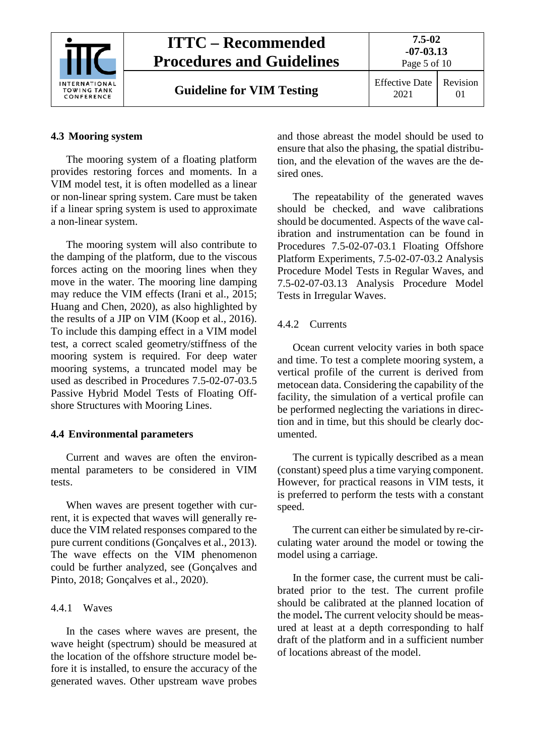

### <span id="page-4-0"></span>**4.3 Mooring system**

The mooring system of a floating platform provides restoring forces and moments. In a VIM model test, it is often modelled as a linear or non-linear spring system. Care must be taken if a linear spring system is used to approximate a non-linear system.

The mooring system will also contribute to the damping of the platform, due to the viscous forces acting on the mooring lines when they move in the water. The mooring line damping may reduce the VIM effects (Irani et al., 2015; Huang and Chen, 2020), as also highlighted by the results of a JIP on VIM (Koop et al., 2016). To include this damping effect in a VIM model test, a correct scaled geometry/stiffness of the mooring system is required. For deep water mooring systems, a truncated model may be used as described in Procedures 7.5-02-07-03.5 Passive Hybrid Model Tests of Floating Offshore Structures with Mooring Lines.

### <span id="page-4-1"></span>**4.4 Environmental parameters**

Current and waves are often the environmental parameters to be considered in VIM tests.

When waves are present together with current, it is expected that waves will generally reduce the VIM related responses compared to the pure current conditions (Gonçalves et al., 2013). The wave effects on the VIM phenomenon could be further analyzed, see (Gonçalves and Pinto, 2018; Gonçalves et al., 2020).

## <span id="page-4-2"></span>4.4.1 Waves

In the cases where waves are present, the wave height (spectrum) should be measured at the location of the offshore structure model before it is installed, to ensure the accuracy of the generated waves. Other upstream wave probes

and those abreast the model should be used to ensure that also the phasing, the spatial distribution, and the elevation of the waves are the desired ones.

The repeatability of the generated waves should be checked, and wave calibrations should be documented. Aspects of the wave calibration and instrumentation can be found in Procedures 7.5-02-07-03.1 Floating Offshore Platform Experiments, 7.5-02-07-03.2 Analysis Procedure Model Tests in Regular Waves, and 7.5-02-07-03.13 Analysis Procedure Model Tests in Irregular Waves.

## <span id="page-4-3"></span>4.4.2 Currents

Ocean current velocity varies in both space and time. To test a complete mooring system, a vertical profile of the current is derived from metocean data. Considering the capability of the facility, the simulation of a vertical profile can be performed neglecting the variations in direction and in time, but this should be clearly documented.

The current is typically described as a mean (constant) speed plus a time varying component. However, for practical reasons in VIM tests, it is preferred to perform the tests with a constant speed.

The current can either be simulated by re-circulating water around the model or towing the model using a carriage.

In the former case, the current must be calibrated prior to the test. The current profile should be calibrated at the planned location of the model**.** The current velocity should be measured at least at a depth corresponding to half draft of the platform and in a sufficient number of locations abreast of the model.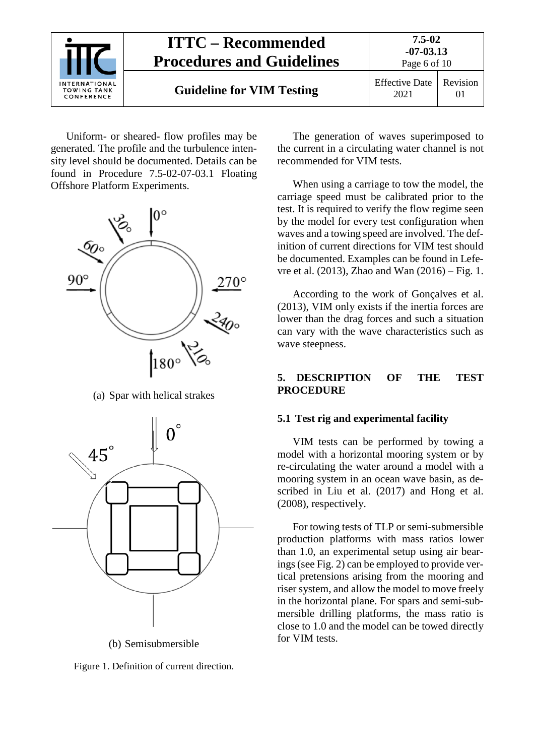

Uniform- or sheared- flow profiles may be generated. The profile and the turbulence intensity level should be documented. Details can be found in Procedure 7.5-02-07-03.1 Floating Offshore Platform Experiments.



(a) Spar with helical strakes



(b) Semisubmersible

Figure 1. Definition of current direction.

The generation of waves superimposed to the current in a circulating water channel is not recommended for VIM tests.

When using a carriage to tow the model, the carriage speed must be calibrated prior to the test. It is required to verify the flow regime seen by the model for every test configuration when waves and a towing speed are involved. The definition of current directions for VIM test should be documented. Examples can be found in Lefevre et al. (2013), Zhao and Wan (2016) – Fig. 1.

According to the work of Gonçalves et al. (2013), VIM only exists if the inertia forces are lower than the drag forces and such a situation can vary with the wave characteristics such as wave steepness.

#### <span id="page-5-0"></span>**5. DESCRIPTION OF THE TEST PROCEDURE**

#### <span id="page-5-1"></span>**5.1 Test rig and experimental facility**

VIM tests can be performed by towing a model with a horizontal mooring system or by re-circulating the water around a model with a mooring system in an ocean wave basin, as described in Liu et al. (2017) and Hong et al. (2008), respectively.

For towing tests of TLP or semi-submersible production platforms with mass ratios lower than 1.0, an experimental setup using air bearings (see Fig. 2) can be employed to provide vertical pretensions arising from the mooring and riser system, and allow the model to move freely in the horizontal plane. For spars and semi-submersible drilling platforms, the mass ratio is close to 1.0 and the model can be towed directly for VIM tests.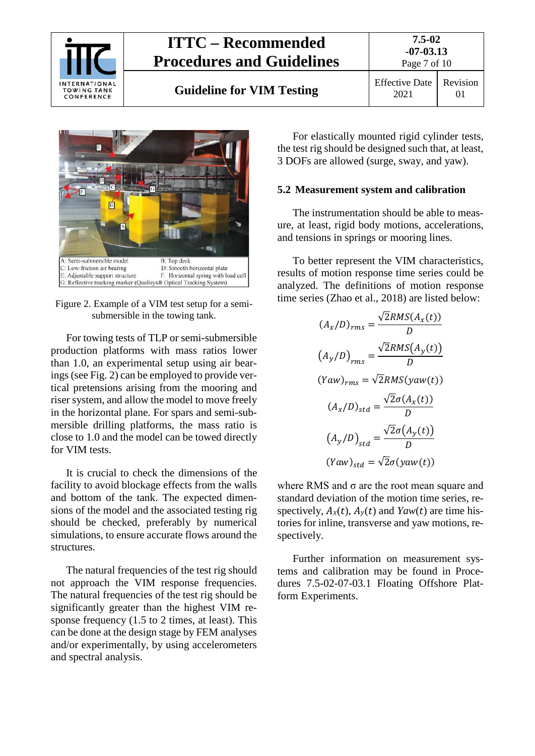

**Guideline for VIM Testing** Effective Date



Figure 2. Example of a VIM test setup for a semisubmersible in the towing tank.

For towing tests of TLP or semi-submersible production platforms with mass ratios lower than 1.0, an experimental setup using air bearings (see Fig. 2) can be employed to provide vertical pretensions arising from the mooring and riser system, and allow the model to move freely in the horizontal plane. For spars and semi-submersible drilling platforms, the mass ratio is close to 1.0 and the model can be towed directly for VIM tests.

It is crucial to check the dimensions of the facility to avoid blockage effects from the walls and bottom of the tank. The expected dimensions of the model and the associated testing rig should be checked, preferably by numerical simulations, to ensure accurate flows around the structures.

The natural frequencies of the test rig should not approach the VIM response frequencies. The natural frequencies of the test rig should be significantly greater than the highest VIM response frequency (1.5 to 2 times, at least). This can be done at the design stage by FEM analyses and/or experimentally, by using accelerometers and spectral analysis.

For elastically mounted rigid cylinder tests, the test rig should be designed such that, at least, 3 DOFs are allowed (surge, sway, and yaw).

#### <span id="page-6-0"></span>**5.2 Measurement system and calibration**

The instrumentation should be able to measure, at least, rigid body motions, accelerations, and tensions in springs or mooring lines.

To better represent the VIM characteristics, results of motion response time series could be analyzed. The definitions of motion response time series (Zhao et al., 2018) are listed below:

$$
(A_x/D)_{rms} = \frac{\sqrt{2}RMS(A_x(t))}{D}
$$

$$
(A_y/D)_{rms} = \frac{\sqrt{2}RMS(A_y(t))}{D}
$$

$$
(Yaw)_{rms} = \sqrt{2}RMS(yaw(t))
$$

$$
(A_x/D)_{std} = \frac{\sqrt{2}\sigma(A_x(t))}{D}
$$

$$
(A_y/D)_{std} = \frac{\sqrt{2}\sigma(A_y(t))}{D}
$$

$$
(Yaw)_{std} = \sqrt{2}\sigma(yaw(t))
$$

where RMS and σ are the root mean square and standard deviation of the motion time series, respectively,  $A_x(t)$ ,  $A_y(t)$  and *Yaw(t)* are time histories for inline, transverse and yaw motions, respectively.

Further information on measurement systems and calibration may be found in Procedures 7.5-02-07-03.1 Floating Offshore Platform Experiments.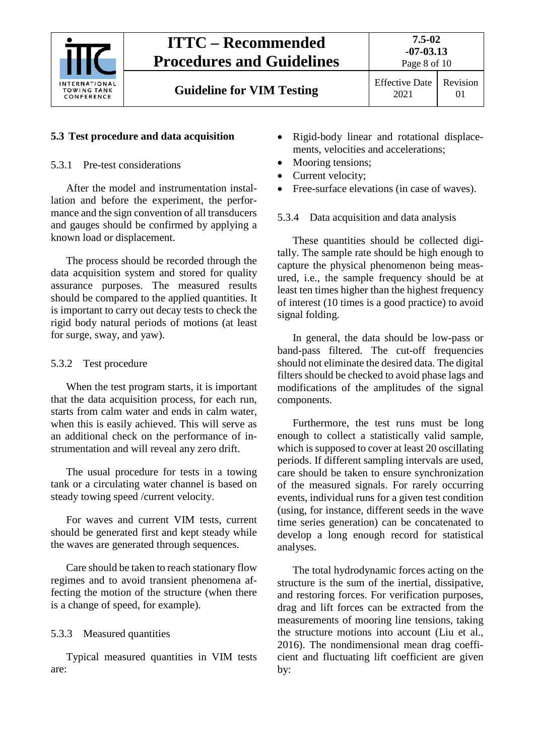

**Guideline for VIM Testing** Effective Date

## <span id="page-7-1"></span><span id="page-7-0"></span>**5.3 Test procedure and data acquisition**

### 5.3.1 Pre-test considerations

After the model and instrumentation installation and before the experiment, the performance and the sign convention of all transducers and gauges should be confirmed by applying a known load or displacement.

The process should be recorded through the data acquisition system and stored for quality assurance purposes. The measured results should be compared to the applied quantities. It is important to carry out decay tests to check the rigid body natural periods of motions (at least for surge, sway, and yaw).

## <span id="page-7-2"></span>5.3.2 Test procedure

When the test program starts, it is important that the data acquisition process, for each run, starts from calm water and ends in calm water, when this is easily achieved. This will serve as an additional check on the performance of instrumentation and will reveal any zero drift.

The usual procedure for tests in a towing tank or a circulating water channel is based on steady towing speed /current velocity.

For waves and current VIM tests, current should be generated first and kept steady while the waves are generated through sequences.

Care should be taken to reach stationary flow regimes and to avoid transient phenomena affecting the motion of the structure (when there is a change of speed, for example).

## <span id="page-7-3"></span>5.3.3 Measured quantities

Typical measured quantities in VIM tests are:

- Rigid-body linear and rotational displacements, velocities and accelerations;
- Mooring tensions;
- Current velocity:
- Free-surface elevations (in case of waves).

### <span id="page-7-4"></span>5.3.4 Data acquisition and data analysis

These quantities should be collected digitally. The sample rate should be high enough to capture the physical phenomenon being measured, i.e., the sample frequency should be at least ten times higher than the highest frequency of interest (10 times is a good practice) to avoid signal folding.

In general, the data should be low-pass or band-pass filtered. The cut-off frequencies should not eliminate the desired data. The digital filters should be checked to avoid phase lags and modifications of the amplitudes of the signal components.

Furthermore, the test runs must be long enough to collect a statistically valid sample, which is supposed to cover at least 20 oscillating periods. If different sampling intervals are used, care should be taken to ensure synchronization of the measured signals. For rarely occurring events, individual runs for a given test condition (using, for instance, different seeds in the wave time series generation) can be concatenated to develop a long enough record for statistical analyses.

The total hydrodynamic forces acting on the structure is the sum of the inertial, dissipative, and restoring forces. For verification purposes, drag and lift forces can be extracted from the measurements of mooring line tensions, taking the structure motions into account (Liu et al., 2016). The nondimensional mean drag coefficient and fluctuating lift coefficient are given by: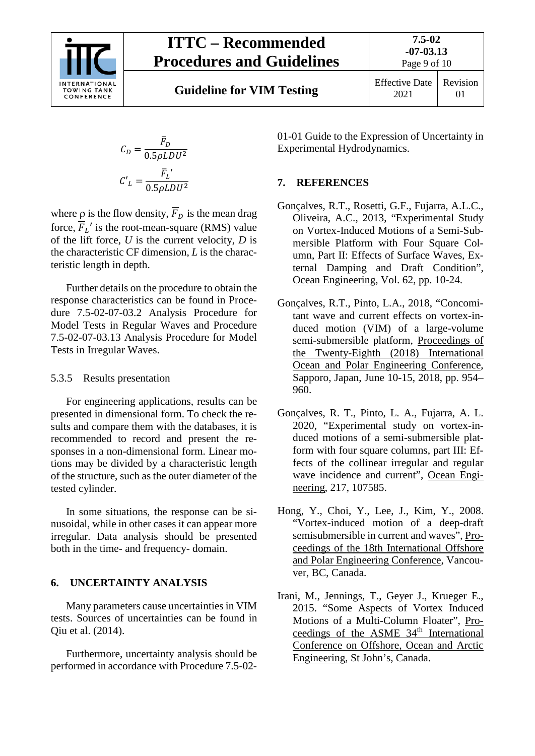

**Guideline for VIM Testing** Effective Date

$$
C_D = \frac{\overline{F}_D}{0.5 \rho L D U^2}
$$

$$
C'_L = \frac{\overline{F}_L'}{0.5 \rho L D U^2}
$$

where  $\rho$  is the flow density,  $\overline{F}_D$  is the mean drag force,  $\overline{F}_L'$  is the root-mean-square (RMS) value of the lift force, *U* is the current velocity, *D* is the characteristic CF dimension, *L* is the characteristic length in depth.

Further details on the procedure to obtain the response characteristics can be found in Procedure 7.5-02-07-03.2 Analysis Procedure for Model Tests in Regular Waves and Procedure 7.5-02-07-03.13 Analysis Procedure for Model Tests in Irregular Waves.

#### <span id="page-8-0"></span>5.3.5 Results presentation

For engineering applications, results can be presented in dimensional form. To check the results and compare them with the databases, it is recommended to record and present the responses in a non-dimensional form. Linear motions may be divided by a characteristic length of the structure, such as the outer diameter of the tested cylinder.

In some situations, the response can be sinusoidal, while in other cases it can appear more irregular. Data analysis should be presented both in the time- and frequency- domain.

#### <span id="page-8-1"></span>**6. UNCERTAINTY ANALYSIS**

Many parameters cause uncertainties in VIM tests. Sources of uncertainties can be found in Qiu et al. (2014).

Furthermore, uncertainty analysis should be performed in accordance with Procedure 7.5-0201-01 Guide to the Expression of Uncertainty in Experimental Hydrodynamics.

#### <span id="page-8-2"></span>**7. REFERENCES**

- Gonçalves, R.T., Rosetti, G.F., Fujarra, A.L.C., Oliveira, A.C., 2013, "Experimental Study on Vortex-Induced Motions of a Semi-Submersible Platform with Four Square Column, Part II: Effects of Surface Waves, External Damping and Draft Condition", Ocean Engineering, Vol. 62, pp. 10-24.
- Gonçalves, R.T., Pinto, L.A., 2018, "Concomitant wave and current effects on vortex-induced motion (VIM) of a large-volume semi-submersible platform, Proceedings of the Twenty-Eighth (2018) International Ocean and Polar Engineering Conference, Sapporo, Japan, June 10-15, 2018, pp. 954– 960.
- Gonçalves, R. T., Pinto, L. A., Fujarra, A. L. 2020, "Experimental study on vortex-induced motions of a semi-submersible platform with four square columns, part III: Effects of the collinear irregular and regular wave incidence and current", Ocean Engineering, 217, 107585.
- Hong, Y., Choi, Y., Lee, J., Kim, Y., 2008. "Vortex-induced motion of a deep-draft semisubmersible in current and waves", Proceedings of the 18th International Offshore and Polar Engineering Conference, Vancouver, BC, Canada.
- Irani, M., Jennings, T., Geyer J., Krueger E., 2015. "Some Aspects of Vortex Induced Motions of a Multi-Column Floater", Proceedings of the ASME 34<sup>th</sup> International Conference on Offshore, Ocean and Arctic Engineering, St John's, Canada.